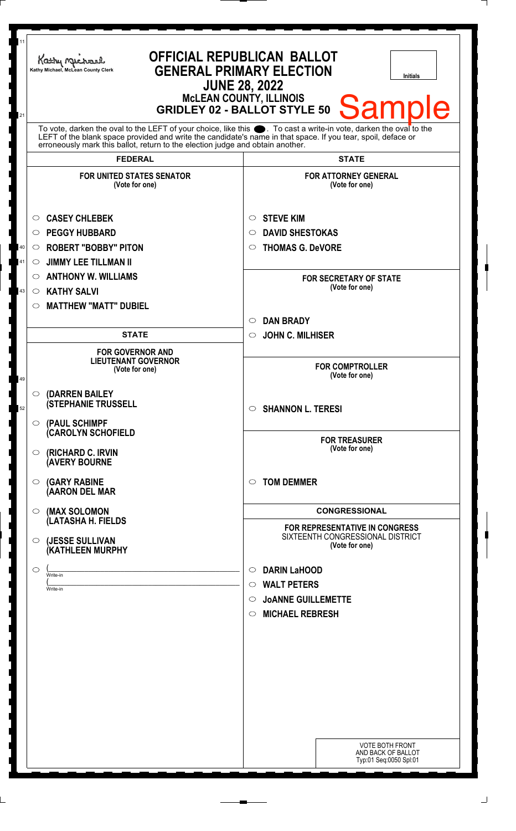| 11 | <b>OFFICIAL REPUBLICAN BALLOT</b><br>Kathy Michael<br><b>GENERAL PRIMARY ELECTION</b><br>Kathy Michael, McLean County Clerk<br><b>Initials</b><br><b>JUNE 28, 2022</b>                                                                                                                                                 |                                                                        |  |
|----|------------------------------------------------------------------------------------------------------------------------------------------------------------------------------------------------------------------------------------------------------------------------------------------------------------------------|------------------------------------------------------------------------|--|
| 21 | <b>McLEAN COUNTY, ILLINOIS</b><br><b>Sample</b><br><b>GRIDLEY 02 - BALLOT STYLE 50</b>                                                                                                                                                                                                                                 |                                                                        |  |
|    | To vote, darken the oval to the LEFT of your choice, like this $\bullet$ . To cast a write-in vote, darken the oval to the LEFT of the blank space provided and write the candidate's name in that space. If you tear, spoil, deface<br>erroneously mark this ballot, return to the election judge and obtain another. |                                                                        |  |
|    | <b>FEDERAL</b>                                                                                                                                                                                                                                                                                                         | <b>STATE</b>                                                           |  |
|    | <b>FOR UNITED STATES SENATOR</b><br>(Vote for one)                                                                                                                                                                                                                                                                     | <b>FOR ATTORNEY GENERAL</b><br>(Vote for one)                          |  |
|    | <b>CASEY CHLEBEK</b><br>O                                                                                                                                                                                                                                                                                              | <b>STEVE KIM</b><br>$\circ$                                            |  |
|    | <b>PEGGY HUBBARD</b><br>◯                                                                                                                                                                                                                                                                                              | <b>DAVID SHESTOKAS</b><br>$\circ$                                      |  |
| 40 | <b>ROBERT "BOBBY" PITON</b><br>$\circ$                                                                                                                                                                                                                                                                                 | <b>THOMAS G. DeVORE</b><br>$\circ$                                     |  |
| 41 | <b>JIMMY LEE TILLMAN II</b><br>$\circ$                                                                                                                                                                                                                                                                                 |                                                                        |  |
|    | <b>ANTHONY W. WILLIAMS</b><br>$\circ$                                                                                                                                                                                                                                                                                  | <b>FOR SECRETARY OF STATE</b>                                          |  |
| 43 | <b>KATHY SALVI</b><br>$\circ$                                                                                                                                                                                                                                                                                          | (Vote for one)                                                         |  |
|    | <b>MATTHEW "MATT" DUBIEL</b><br>$\circ$                                                                                                                                                                                                                                                                                |                                                                        |  |
|    |                                                                                                                                                                                                                                                                                                                        | <b>DAN BRADY</b><br>$\circ$                                            |  |
|    | <b>STATE</b>                                                                                                                                                                                                                                                                                                           | <b>JOHN C. MILHISER</b><br>$\circ$                                     |  |
| 49 | <b>FOR GOVERNOR AND</b><br><b>LIEUTENANT GOVERNOR</b><br>(Vote for one)                                                                                                                                                                                                                                                | <b>FOR COMPTROLLER</b><br>(Vote for one)                               |  |
| 52 | (DARREN BAILEY<br>$\circ$<br><b>(STEPHANIE TRUSSELL</b>                                                                                                                                                                                                                                                                | $\circ$ SHANNON L. TERESI                                              |  |
|    | (PAUL SCHIMPF<br>$\bigcirc$<br><b>CAROLYN SCHOFIELD</b><br>(RICHARD C. IRVIN<br>$\circ$                                                                                                                                                                                                                                | <b>FOR TREASURER</b><br>(Vote for one)                                 |  |
|    | <b>(AVERY BOURNE</b><br><b>(GARY RABINE</b><br>$\circ$<br>(AARON DEL MAR                                                                                                                                                                                                                                               | <b>TOM DEMMER</b><br>$\circ$                                           |  |
|    | (MAX SOLOMON<br>$\circ$                                                                                                                                                                                                                                                                                                | <b>CONGRESSIONAL</b>                                                   |  |
|    | (LATASHA H. FIELDS                                                                                                                                                                                                                                                                                                     | FOR REPRESENTATIVE IN CONGRESS                                         |  |
|    | (JESSE SULLIVAN<br>O<br><b>(KATHLEEN MURPHY</b>                                                                                                                                                                                                                                                                        | SIXTEENTH CONGRESSIONAL DISTRICT<br>(Vote for one)                     |  |
|    | $\circ$<br>Write-in                                                                                                                                                                                                                                                                                                    | <b>DARIN LaHOOD</b><br>$\circ$                                         |  |
|    | Write-in                                                                                                                                                                                                                                                                                                               | $\circ$ WALT PETERS                                                    |  |
|    |                                                                                                                                                                                                                                                                                                                        | <b>JOANNE GUILLEMETTE</b><br>$\circ$                                   |  |
|    |                                                                                                                                                                                                                                                                                                                        | <b>MICHAEL REBRESH</b><br>$\circ$                                      |  |
|    |                                                                                                                                                                                                                                                                                                                        |                                                                        |  |
|    |                                                                                                                                                                                                                                                                                                                        |                                                                        |  |
|    |                                                                                                                                                                                                                                                                                                                        |                                                                        |  |
|    |                                                                                                                                                                                                                                                                                                                        |                                                                        |  |
|    |                                                                                                                                                                                                                                                                                                                        |                                                                        |  |
|    |                                                                                                                                                                                                                                                                                                                        |                                                                        |  |
|    |                                                                                                                                                                                                                                                                                                                        |                                                                        |  |
|    |                                                                                                                                                                                                                                                                                                                        | <b>VOTE BOTH FRONT</b><br>AND BACK OF BALLOT<br>Typ:01 Seq:0050 Spl:01 |  |
|    |                                                                                                                                                                                                                                                                                                                        |                                                                        |  |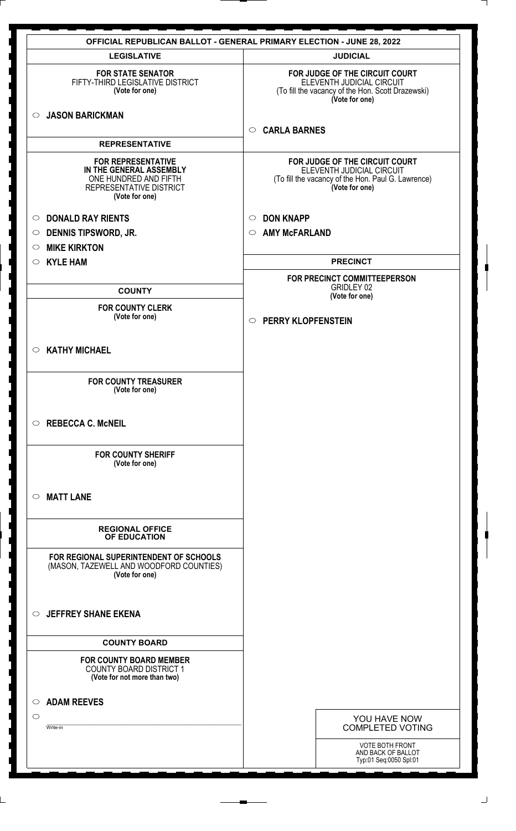|                                                                                                                            | <b>OFFICIAL REPUBLICAN BALLOT - GENERAL PRIMARY ELECTION - JUNE 28, 2022</b>                                                        |
|----------------------------------------------------------------------------------------------------------------------------|-------------------------------------------------------------------------------------------------------------------------------------|
| <b>LEGISLATIVE</b>                                                                                                         | <b>JUDICIAL</b>                                                                                                                     |
| <b>FOR STATE SENATOR</b><br>FIFTY-THIRD LEGISLATIVE DISTRICT<br>(Vote for one)                                             | FOR JUDGE OF THE CIRCUIT COURT<br>ELEVENTH JUDICIAL CIRCUIT<br>(To fill the vacancy of the Hon. Scott Drazewski)<br>(Vote for one)  |
| <b>JASON BARICKMAN</b><br>$\circ$                                                                                          |                                                                                                                                     |
|                                                                                                                            | <b>CARLA BARNES</b><br>$\circ$                                                                                                      |
| <b>REPRESENTATIVE</b>                                                                                                      |                                                                                                                                     |
| <b>FOR REPRESENTATIVE</b><br>IN THE GENERAL ASSEMBLY<br>ONE HUNDRED AND FIFTH<br>REPRESENTATIVE DISTRICT<br>(Vote for one) | FOR JUDGE OF THE CIRCUIT COURT<br>ELEVENTH JUDICIAL CIRCUIT<br>(To fill the vacancy of the Hon. Paul G. Lawrence)<br>(Vote for one) |
| <b>DONALD RAY RIENTS</b><br>$\circ$                                                                                        | <b>DON KNAPP</b><br>$\circ$                                                                                                         |
| <b>DENNIS TIPSWORD, JR.</b><br>$\circ$                                                                                     | <b>AMY McFARLAND</b><br>$\circ$                                                                                                     |
| <b>MIKE KIRKTON</b><br>$\circ$                                                                                             |                                                                                                                                     |
| <b>KYLE HAM</b><br>$\circ$                                                                                                 | <b>PRECINCT</b>                                                                                                                     |
|                                                                                                                            | FOR PRECINCT COMMITTEEPERSON                                                                                                        |
| <b>COUNTY</b>                                                                                                              | <b>GRIDLEY 02</b><br>(Vote for one)                                                                                                 |
| <b>FOR COUNTY CLERK</b>                                                                                                    |                                                                                                                                     |
| (Vote for one)                                                                                                             | <b>O PERRY KLOPFENSTEIN</b>                                                                                                         |
|                                                                                                                            |                                                                                                                                     |
| <b>KATHY MICHAEL</b><br>$\circ$                                                                                            |                                                                                                                                     |
|                                                                                                                            |                                                                                                                                     |
| <b>FOR COUNTY TREASURER</b><br>(Vote for one)                                                                              |                                                                                                                                     |
|                                                                                                                            |                                                                                                                                     |
|                                                                                                                            |                                                                                                                                     |
| <b>REBECCA C. McNEIL</b><br>$\circ$                                                                                        |                                                                                                                                     |
| <b>FOR COUNTY SHERIFF</b><br>(Vote for one)                                                                                |                                                                                                                                     |
| <b>MATT LANE</b><br>$\circ$                                                                                                |                                                                                                                                     |
| <b>REGIONAL OFFICE</b><br>OF EDUCATION                                                                                     |                                                                                                                                     |
| FOR REGIONAL SUPERINTENDENT OF SCHOOLS<br>(MASON, TAZEWELL AND WOODFORD COUNTIES)<br>(Vote for one)                        |                                                                                                                                     |
| <b>JEFFREY SHANE EKENA</b><br>$\circ$                                                                                      |                                                                                                                                     |
| <b>COUNTY BOARD</b>                                                                                                        |                                                                                                                                     |
| <b>FOR COUNTY BOARD MEMBER</b><br><b>COUNTY BOARD DISTRICT 1</b><br>(Vote for not more than two)                           |                                                                                                                                     |
| <b>ADAM REEVES</b><br>$\circ$                                                                                              |                                                                                                                                     |
| $\circlearrowright$                                                                                                        |                                                                                                                                     |
| Write-in                                                                                                                   | YOU HAVE NOW<br><b>COMPLETED VOTING</b>                                                                                             |
|                                                                                                                            | VOTE BOTH FRONT                                                                                                                     |
|                                                                                                                            | AND BACK OF BALLOT<br>Typ:01 Seq:0050 Spl:01                                                                                        |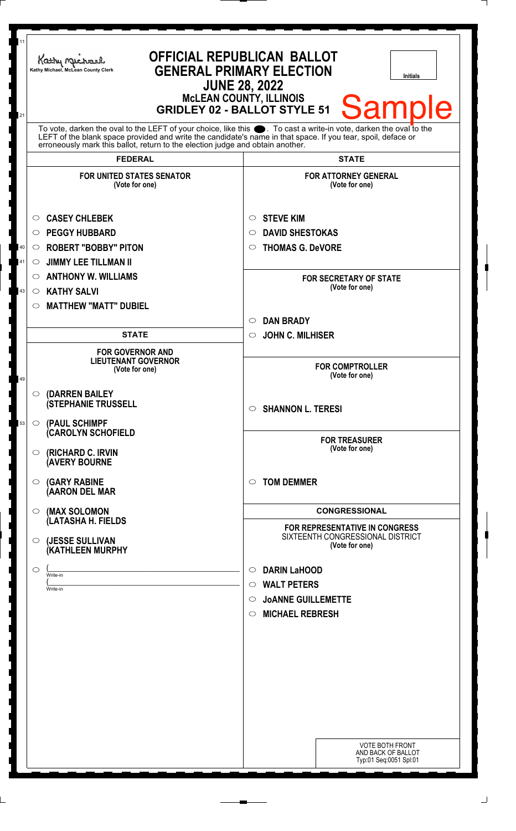| 11<br>21 | <b>OFFICIAL REPUBLICAN BALLOT</b><br>Kathy Michael<br><b>GENERAL PRIMARY ELECTION</b><br>Kathy Michael, McLean County Clerk<br><b>Initials</b><br><b>JUNE 28, 2022</b><br><b>MCLEAN COUNTY, ILLINOIS</b><br><b>Sample</b><br><b>GRIDLEY 02 - BALLOT STYLE 51</b>                                                       |                                                                                      |
|----------|------------------------------------------------------------------------------------------------------------------------------------------------------------------------------------------------------------------------------------------------------------------------------------------------------------------------|--------------------------------------------------------------------------------------|
|          | To vote, darken the oval to the LEFT of your choice, like this $\bullet$ . To cast a write-in vote, darken the oval to the LEFT of the blank space provided and write the candidate's name in that space. If you tear, spoil, deface<br>erroneously mark this ballot, return to the election judge and obtain another. |                                                                                      |
|          | <b>FEDERAL</b>                                                                                                                                                                                                                                                                                                         | <b>STATE</b>                                                                         |
|          | <b>FOR UNITED STATES SENATOR</b><br>(Vote for one)<br><b>CASEY CHLEBEK</b><br>$\circ$                                                                                                                                                                                                                                  | <b>FOR ATTORNEY GENERAL</b><br>(Vote for one)<br><b>STEVE KIM</b><br>$\circ$         |
|          | <b>PEGGY HUBBARD</b><br>◯                                                                                                                                                                                                                                                                                              | <b>DAVID SHESTOKAS</b><br>$\circ$                                                    |
| 40       | <b>ROBERT "BOBBY" PITON</b><br>$\circ$                                                                                                                                                                                                                                                                                 | <b>THOMAS G. DeVORE</b><br>$\circ$                                                   |
| 41       | <b>JIMMY LEE TILLMAN II</b><br>$\circ$                                                                                                                                                                                                                                                                                 |                                                                                      |
|          | <b>ANTHONY W. WILLIAMS</b><br>$\circ$                                                                                                                                                                                                                                                                                  | <b>FOR SECRETARY OF STATE</b>                                                        |
| 43       | <b>KATHY SALVI</b><br>$\circ$                                                                                                                                                                                                                                                                                          | (Vote for one)                                                                       |
|          | <b>MATTHEW "MATT" DUBIEL</b><br>◯                                                                                                                                                                                                                                                                                      |                                                                                      |
|          |                                                                                                                                                                                                                                                                                                                        | <b>DAN BRADY</b><br>$\circ$                                                          |
|          | <b>STATE</b>                                                                                                                                                                                                                                                                                                           | <b>JOHN C. MILHISER</b><br>$\circ$                                                   |
| 49       | <b>FOR GOVERNOR AND</b><br><b>LIEUTENANT GOVERNOR</b><br>(Vote for one)                                                                                                                                                                                                                                                | <b>FOR COMPTROLLER</b><br>(Vote for one)                                             |
|          | (DARREN BAILEY<br>$\circ$<br><b>(STEPHANIE TRUSSELL</b>                                                                                                                                                                                                                                                                | $\circ$ SHANNON L. TERESI                                                            |
| 53       | (PAUL SCHIMPF<br>$\circ$<br><b>CAROLYN SCHOFIELD</b>                                                                                                                                                                                                                                                                   |                                                                                      |
|          | (RICHARD C. IRVIN<br>$\circ$<br><b>(AVERY BOURNE</b>                                                                                                                                                                                                                                                                   | <b>FOR TREASURER</b><br>(Vote for one)                                               |
|          | <b>(GARY RABINE</b><br>O<br>(AARON DEL MAR                                                                                                                                                                                                                                                                             | <b>TOM DEMMER</b><br>$\circ$                                                         |
|          | (MAX SOLOMON<br>$\circ$<br>(LATASHA H. FIELDS                                                                                                                                                                                                                                                                          | <b>CONGRESSIONAL</b>                                                                 |
|          | (JESSE SULLIVAN<br>$\circ$<br>(KATHLEEN MURPHY                                                                                                                                                                                                                                                                         | FOR REPRESENTATIVE IN CONGRESS<br>SIXTEENTH CONGRESSIONAL DISTRICT<br>(Vote for one) |
|          | O                                                                                                                                                                                                                                                                                                                      | <b>DARIN LaHOOD</b><br>$\circ$                                                       |
|          | Write-in<br>Write-in                                                                                                                                                                                                                                                                                                   | <b>WALT PETERS</b><br>$\circ$                                                        |
|          |                                                                                                                                                                                                                                                                                                                        | <b>JOANNE GUILLEMETTE</b><br>$\circ$                                                 |
|          |                                                                                                                                                                                                                                                                                                                        | <b>MICHAEL REBRESH</b><br>$\circ$                                                    |
|          |                                                                                                                                                                                                                                                                                                                        |                                                                                      |
|          |                                                                                                                                                                                                                                                                                                                        |                                                                                      |
|          |                                                                                                                                                                                                                                                                                                                        |                                                                                      |
|          |                                                                                                                                                                                                                                                                                                                        |                                                                                      |
|          |                                                                                                                                                                                                                                                                                                                        |                                                                                      |
|          |                                                                                                                                                                                                                                                                                                                        |                                                                                      |
|          |                                                                                                                                                                                                                                                                                                                        |                                                                                      |
|          |                                                                                                                                                                                                                                                                                                                        | <b>VOTE BOTH FRONT</b><br>AND BACK OF BALLOT<br>Typ:01 Seq:0051 Spl:01               |